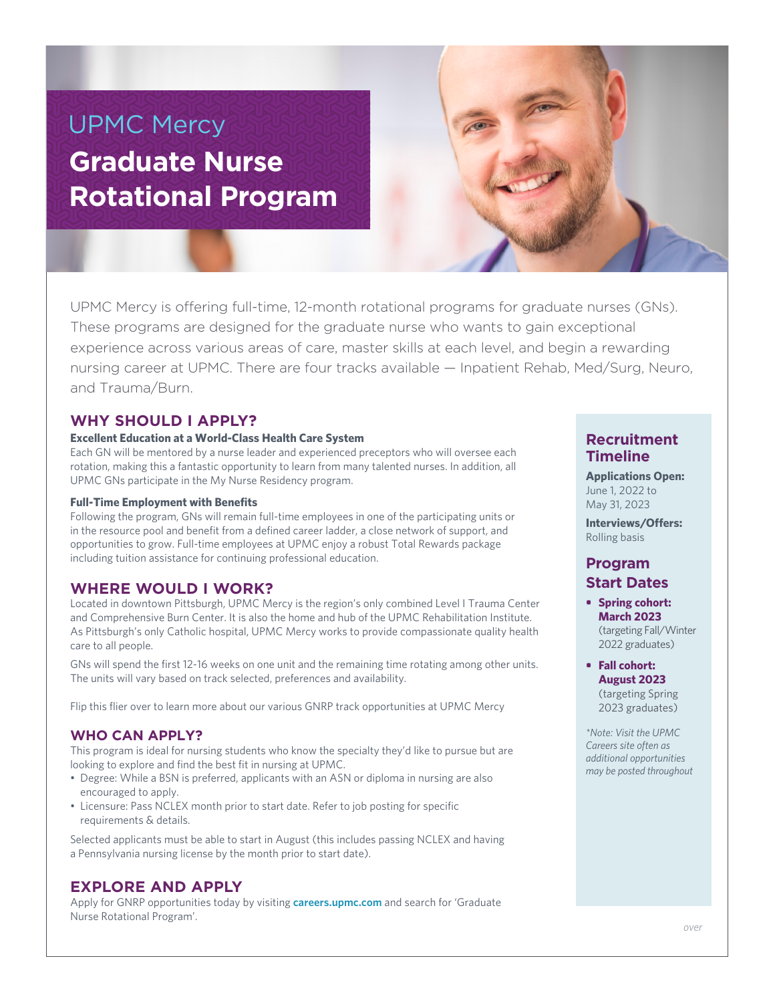# UPMC Mercy **Graduate Nurse Rotational Program**

UPMC Mercy is offering full-time, 12-month rotational programs for graduate nurses (GNs). These programs are designed for the graduate nurse who wants to gain exceptional experience across various areas of care, master skills at each level, and begin a rewarding nursing career at UPMC. There are four tracks available — Inpatient Rehab, Med/Surg, Neuro, and Trauma/Burn.

## **WHY SHOULD I APPLY?**

#### **Excellent Education at a World-Class Health Care System**

Each GN will be mentored by a nurse leader and experienced preceptors who will oversee each rotation, making this a fantastic opportunity to learn from many talented nurses. In addition, all UPMC GNs participate in the My Nurse Residency program.

#### **Full-Time Employment with Benefits**

Following the program, GNs will remain full-time employees in one of the participating units or in the resource pool and benefit from a defined career ladder, a close network of support, and opportunities to grow. Full-time employees at UPMC enjoy a robust Total Rewards package including tuition assistance for continuing professional education.

#### **WHERE WOULD I WORK?**

Located in downtown Pittsburgh, UPMC Mercy is the region's only combined Level I Trauma Center and Comprehensive Burn Center. It is also the home and hub of the UPMC Rehabilitation Institute. As Pittsburgh's only Catholic hospital, UPMC Mercy works to provide compassionate quality health care to all people.

GNs will spend the first 12-16 weeks on one unit and the remaining time rotating among other units. The units will vary based on track selected, preferences and availability.

Flip this flier over to learn more about our various GNRP track opportunities at UPMC Mercy

#### **WHO CAN APPLY?**

This program is ideal for nursing students who know the specialty they'd like to pursue but are looking to explore and find the best fit in nursing at UPMC.

- Degree: While a BSN is preferred, applicants with an ASN or diploma in nursing are also encouraged to apply.
- Licensure: Pass NCLEX month prior to start date. Refer to job posting for specific requirements & details.

Selected applicants must be able to start in August (this includes passing NCLEX and having a Pennsylvania nursing license by the month prior to start date).

## **EXPLORE AND APPLY**

Apply for GNRP opportunities today by visiting **careers.upmc.com** and search for 'Graduate Nurse Rotational Program'.

#### **Recruitment Timeline**

**Applications Open:** June 1, 2022 to May 31, 2023

**Interviews/Offers:** Rolling basis

## **Program Start Dates**

- **• Spring cohort: March 2023** (targeting Fall/Winter 2022 graduates)
- **• Fall cohort: August 2023** (targeting Spring

2023 graduates)

*\*Note: Visit the UPMC Careers site often as additional opportunities may be posted throughout*